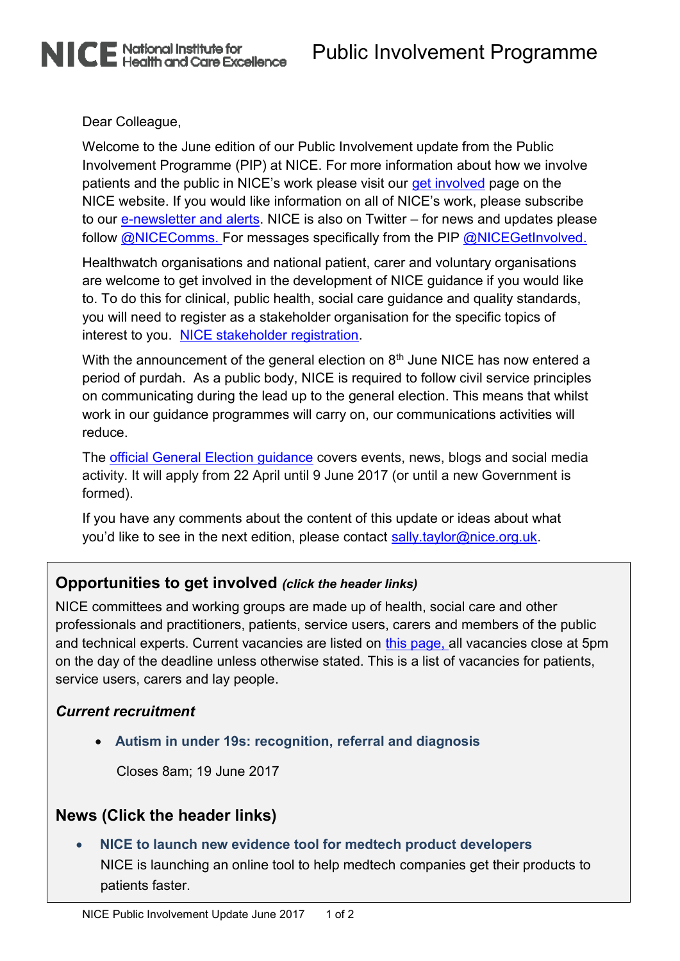Dear Colleague,

NICE National Institute for<br>NICE Health and Care Excellence

Welcome to the June edition of our Public Involvement update from the Public Involvement Programme (PIP) at NICE. For more information about how we involve patients and the public in NICE's work please visit our [get involved](http://www.nice.org.uk/Get-Involved) page on the NICE website. If you would like information on all of NICE's work, please subscribe to our [e-newsletter and alerts.](http://www.nice.org.uk/website/subscribetonewsletterandalerts/subscribe_to_newsletter_and_alerts.jsp) NICE is also on Twitter – for news and updates please follow **@NICEComms**. For messages specifically from the PIP **@NICEGetInvolved**.

Healthwatch organisations and national patient, carer and voluntary organisations are welcome to get involved in the development of NICE guidance if you would like to. To do this for clinical, public health, social care guidance and quality standards, you will need to register as a stakeholder organisation for the specific topics of interest to you. [NICE stakeholder registration.](https://www.nice.org.uk/Get-Involved/stakeholder-registration)

With the announcement of the general election on 8<sup>th</sup> June NICE has now entered a period of purdah. As a public body, NICE is required to follow civil service principles on communicating during the lead up to the general election. This means that whilst work in our guidance programmes will carry on, our communications activities will reduce.

The [official General Election guidance](https://www.gov.uk/government/publications/election-guidance-for-civil-servants/general-election-2017-guidance-for-civil-servants) covers events, news, blogs and social media activity. It will apply from 22 April until 9 June 2017 (or until a new Government is formed).

If you have any comments about the content of this update or ideas about what you'd like to see in the next edition, please contact sally taylor@nice.org.uk.

# **Opportunities to get involved** *(click the header links)*

NICE committees and working groups are made up of health, social care and other professionals and practitioners, patients, service users, carers and members of the public and technical experts. Current vacancies are listed on [this page,](http://www.nice.org.uk/Get-Involved/join-a-committee) all vacancies close at 5pm on the day of the deadline unless otherwise stated. This is a list of vacancies for patients, service users, carers and lay people.

### *Current recruitment*

**[Autism in under 19s: recognition, referral and diagnosis](http://www.nice.org.uk/get-involved/join-a-committee/lay-member-autism-in-under-19s-recognition-referral-and-diagnosis)**

Closes 8am; 19 June 2017

# **News (Click the header links)**

 **[NICE to launch new evidence tool for medtech product developers](http://www.nice.org.uk/news/article/councils-and-sexual-health-services-should-consider-providing-free-condoms-to-reduce-stis-says-nice)** NICE is launching an online tool to help medtech companies get their products to patients faster.